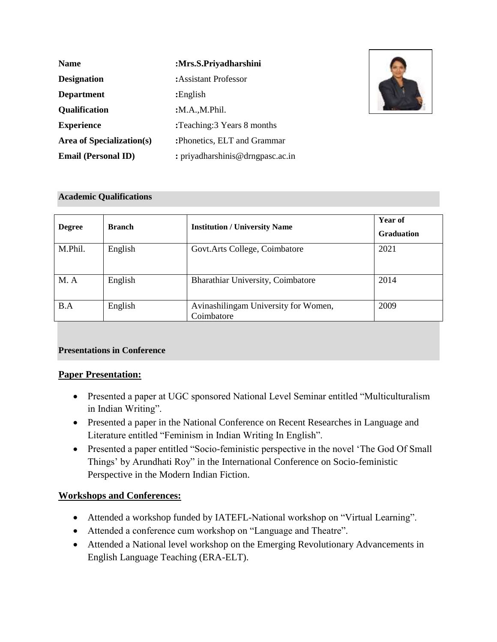| <b>Name</b>                      | :Mrs.S.Priyadharshini            |  |
|----------------------------------|----------------------------------|--|
| <b>Designation</b>               | :Assistant Professor             |  |
| <b>Department</b>                | $:$ English:                     |  |
| <b>Qualification</b>             | :M.A., M. Phil.                  |  |
| <b>Experience</b>                | :Teaching:3 Years 8 months       |  |
| <b>Area of Specialization(s)</b> | :Phonetics, ELT and Grammar      |  |
| <b>Email (Personal ID)</b>       | : priyadharshinis@drngpasc.ac.in |  |



## **Academic Qualifications**

| <b>Degree</b> | <b>Branch</b> | <b>Institution / University Name</b>               | Year of<br><b>Graduation</b> |
|---------------|---------------|----------------------------------------------------|------------------------------|
| M.Phil.       | English       | Govt. Arts College, Coimbatore                     | 2021                         |
| M.A           | English       | Bharathiar University, Coimbatore                  | 2014                         |
| B.A           | English       | Avinashilingam University for Women,<br>Coimbatore | 2009                         |

# **Presentations in Conference**

# **Paper Presentation:**

- Presented a paper at UGC sponsored National Level Seminar entitled "Multiculturalism in Indian Writing".
- Presented a paper in the National Conference on Recent Researches in Language and Literature entitled "Feminism in Indian Writing In English".
- Presented a paper entitled "Socio-feministic perspective in the novel 'The God Of Small Things' by Arundhati Roy" in the International Conference on Socio-feministic Perspective in the Modern Indian Fiction.

# **Workshops and Conferences:**

- Attended a workshop funded by IATEFL-National workshop on "Virtual Learning".
- Attended a conference cum workshop on "Language and Theatre".
- Attended a National level workshop on the Emerging Revolutionary Advancements in English Language Teaching (ERA-ELT).